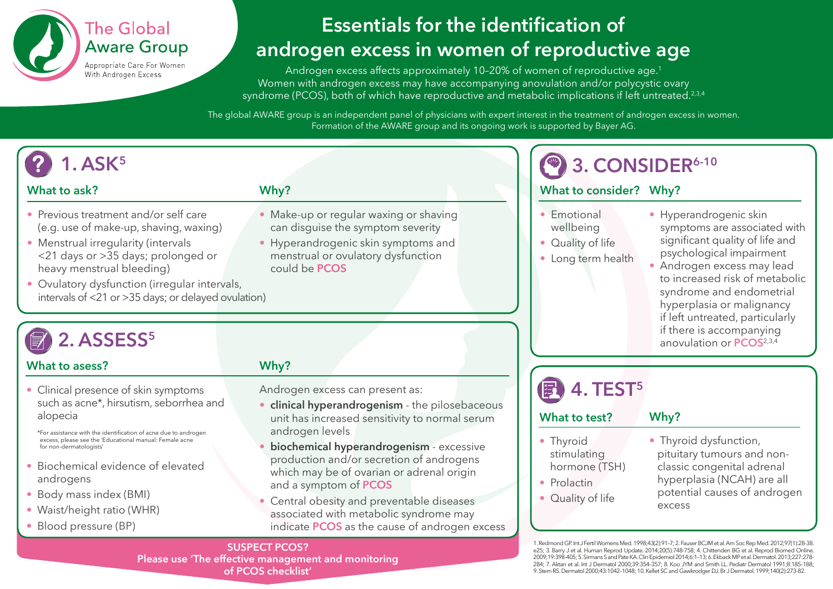

## **Essentials for the identification of androgen excess in women of reproductive age**

Androgen excess affects approximately 10-20% of women of reproductive age.<sup>1</sup> Women with androgen excess may have accompanying anovulation and/or polycystic ovary syndrome (PCOS), both of which have reproductive and metabolic implications if left untreated.<sup>2,3,4</sup>

The global AWARE group is an independent panel of physicians with expert interest in the treatment of androgen excess in women. Formation of the AWARE group and its ongoing work is supported by Bayer AG.

### **What to ask?**

- Previous treatment and/or self care (e.g. use of make-up, shaving, waxing)
- Menstrual irregularity (intervals <21 days or >35 days; prolonged or heavy menstrual bleeding)
- Ovulatory dysfunction (irregular intervals, intervals of <21 or >35 days; or delayed ovulation)

# ASSESS<sup>5</sup>

### **What to asess?**

• Clinical presence of skin symptoms such as acne\*, hirsutism, seborrhea and alopecia

\*For assistance with the identification of acne due to androgen excess, please see the 'Educational manual: Female acne for non-dermatologists'

- Biochemical evidence of elevated androgens
- Body mass index (BMI)
- Waist/height ratio (WHR)
- Blood pressure (BP)

## **Why?**

**Why?**

could be **PCOS**

Androgen excess can present as:

• Make-up or regular waxing or shaving can disguise the symptom severity • Hyperandrogenic skin symptoms and menstrual or ovulatory dysfunction

- **clinical hyperandrogenism** the pilosebaceous unit has increased sensitivity to normal serum androgen levels
- **biochemical hyperandrogenism** excessive production and/or secretion of androgens which may be of ovarian or adrenal origin and a symptom of **PCOS**

• Central obesity and preventable diseases associated with metabolic syndrome may indicate **PCOS** as the cause of androgen excess

## **3. CONSIDER<sup>6-10</sup>**

## **What to consider? Why?**

- Emotional wellbeing
- Quality of life
- Long term health
- Hyperandrogenic skin symptoms are associated with significant quality of life and psychological impairment
- Androgen excess may lead to increased risk of metabolic syndrome and endometrial hyperplasia or malignancy if left untreated, particularly if there is accompanying anovulation or **PCOS**2,3,4

# **4. TEST5**

### **What to test?**

- **Why?**
- Thyroid stimulating hormone (TSH)
- Prolactin
- Quality of life
- Thyroid dysfunction, pituitary tumours and nonclassic congenital adrenal hyperplasia (NCAH) are all potential causes of androgen excess

1. Redmond GP. Int J Fertil Womens Med. 1998;43(2):91–7; 2. Fauser BCJM et al. Am Soc Rep Med. 2012;97(1):28-38. e25; 3. Barry J et al. Human Reprod Update. 2014;20(5):748-758; 4. Chittenden BG et al. Reprod Biomed Online. 2009;19:398-405; 5. Sirmans S and Pate KA. Clin Epidemiol 2014;6:1–13; 6. Ekback MP et al. Dermatol. 2013;227:278- 284; 7. Aktan et al. Int J Dermatol 2000;39:354–357; 8. Koo JYM and Smith LL. Pediatr Dermatol 1991;8:185–188; 9. Stern RS. Dermatol 2000;43:1042–1048; 10. Kellet SC and Gawkrodger DJ. Br J Dermatol. 1999;140(2):273-82.

**SUSPECT PCOS? Please use 'The effective management and monitoring of PCOS checklist'**